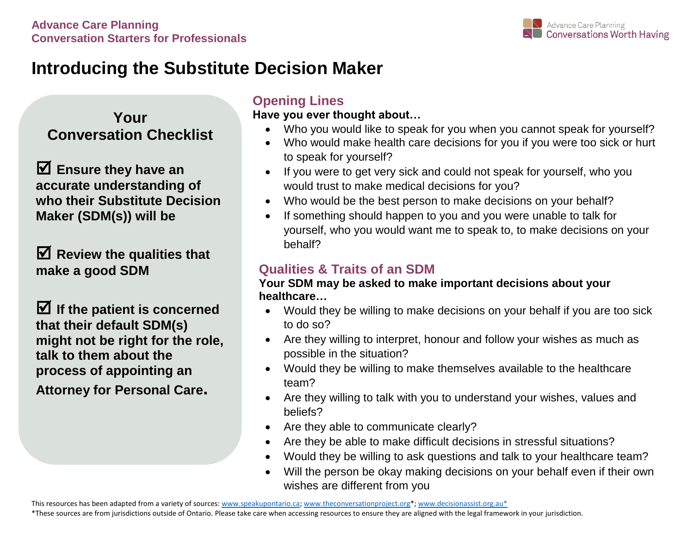

# **Introducing the Substitute Decision Maker**

**Your Conversation Checklist**

 **Ensure they have an accurate understanding of who their Substitute Decision Maker (SDM(s)) will be** 

 **Review the qualities that make a good SDM**

 $\blacksquare$  If the patient is concerned **that their default SDM(s) might not be right for the role, talk to them about the process of appointing an Attorney for Personal Care.**

### **Opening Lines**

**Have you ever thought about…**

- Who you would like to speak for you when you cannot speak for yourself?
- Who would make health care decisions for you if you were too sick or hurt to speak for yourself?
- If you were to get very sick and could not speak for yourself, who you would trust to make medical decisions for you?
- Who would be the best person to make decisions on your behalf?
- If something should happen to you and you were unable to talk for yourself, who you would want me to speak to, to make decisions on your behalf?

## **Qualities & Traits of an SDM**

#### **Your SDM may be asked to make important decisions about your healthcare…**

- Would they be willing to make decisions on your behalf if you are too sick to do so?
- Are they willing to interpret, honour and follow your wishes as much as possible in the situation?
- Would they be willing to make themselves available to the healthcare team?
- Are they willing to talk with you to understand your wishes, values and beliefs?
- Are they able to communicate clearly?
- Are they be able to make difficult decisions in stressful situations?
- Would they be willing to ask questions and talk to your healthcare team?
- Will the person be okay making decisions on your behalf even if their own wishes are different from you